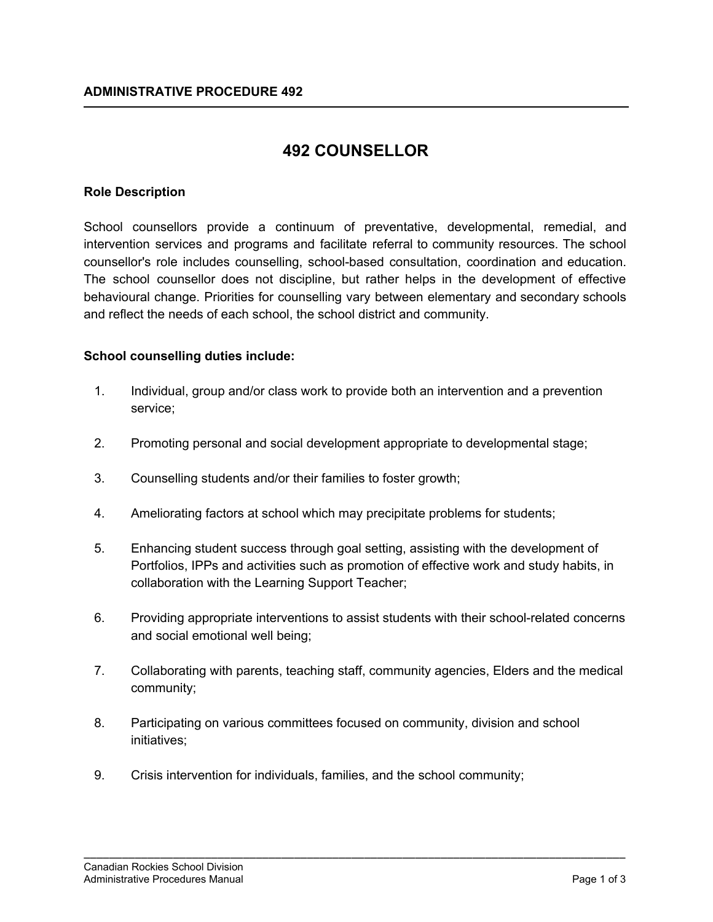# **492 COUNSELLOR**

## **Role Description**

School counsellors provide a continuum of preventative, developmental, remedial, and intervention services and programs and facilitate referral to community resources. The school counsellor's role includes counselling, school-based consultation, coordination and education. The school counsellor does not discipline, but rather helps in the development of effective behavioural change. Priorities for counselling vary between elementary and secondary schools and reflect the needs of each school, the school district and community.

## **School counselling duties include:**

- 1. Individual, group and/or class work to provide both an intervention and a prevention service;
- 2. Promoting personal and social development appropriate to developmental stage;
- 3. Counselling students and/or their families to foster growth;
- 4. Ameliorating factors at school which may precipitate problems for students;
- 5. Enhancing student success through goal setting, assisting with the development of Portfolios, IPPs and activities such as promotion of effective work and study habits, in collaboration with the Learning Support Teacher;
- 6. Providing appropriate interventions to assist students with their school-related concerns and social emotional well being;
- 7. Collaborating with parents, teaching staff, community agencies, Elders and the medical community;

\_\_\_\_\_\_\_\_\_\_\_\_\_\_\_\_\_\_\_\_\_\_\_\_\_\_\_\_\_\_\_\_\_\_\_\_\_\_\_\_\_\_\_\_\_\_\_\_\_\_\_\_\_\_\_\_\_\_\_\_\_\_\_\_\_\_\_\_\_\_\_\_\_\_\_\_\_\_\_\_\_\_\_\_\_

- 8. Participating on various committees focused on community, division and school initiatives;
- 9. Crisis intervention for individuals, families, and the school community;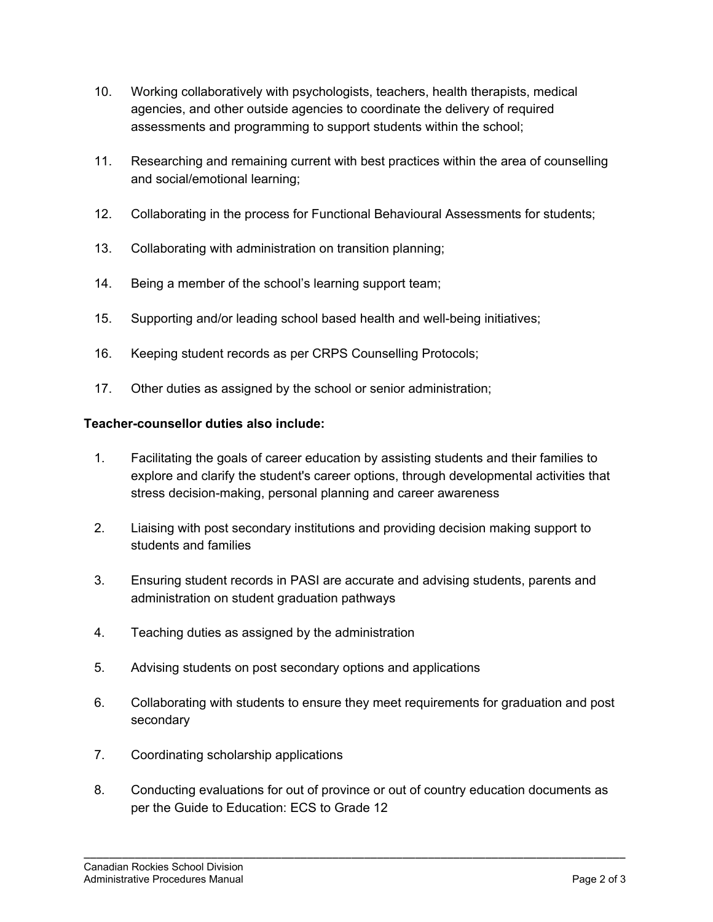- 10. Working collaboratively with psychologists, teachers, health therapists, medical agencies, and other outside agencies to coordinate the delivery of required assessments and programming to support students within the school;
- 11. Researching and remaining current with best practices within the area of counselling and social/emotional learning;
- 12. Collaborating in the process for Functional Behavioural Assessments for students;
- 13. Collaborating with administration on transition planning;
- 14. Being a member of the school's learning support team;
- 15. Supporting and/or leading school based health and well-being initiatives;
- 16. Keeping student records as per CRPS Counselling Protocols;
- 17. Other duties as assigned by the school or senior administration;

## **Teacher-counsellor duties also include:**

- 1. Facilitating the goals of career education by assisting students and their families to explore and clarify the student's career options, through developmental activities that stress decision-making, personal planning and career awareness
- 2. Liaising with post secondary institutions and providing decision making support to students and families
- 3. Ensuring student records in PASI are accurate and advising students, parents and administration on student graduation pathways
- 4. Teaching duties as assigned by the administration
- 5. Advising students on post secondary options and applications
- 6. Collaborating with students to ensure they meet requirements for graduation and post secondary
- 7. Coordinating scholarship applications
- 8. Conducting evaluations for out of province or out of country education documents as per the Guide to Education: ECS to Grade 12

\_\_\_\_\_\_\_\_\_\_\_\_\_\_\_\_\_\_\_\_\_\_\_\_\_\_\_\_\_\_\_\_\_\_\_\_\_\_\_\_\_\_\_\_\_\_\_\_\_\_\_\_\_\_\_\_\_\_\_\_\_\_\_\_\_\_\_\_\_\_\_\_\_\_\_\_\_\_\_\_\_\_\_\_\_